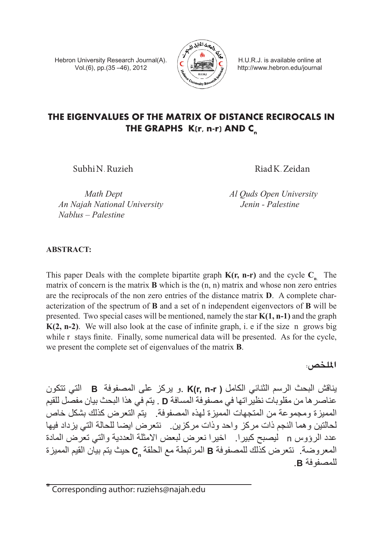Hebron University Research Journal(A). Vol.(6), pp.(35 –46), 2012



H.U.R.J. is available online at http://www.hebron.edu/journal

# **THE EIGENVALUES OF THE MATRIX OF DISTANCE RECIROCALS IN THE GRAPHS K(r, n-r) AND Cn**

Subhi N. Ruzieh Riad K. Zeidan

*An Najah National University Jenin - Palestine Nablus – Palestine*

*Math Dept Al Quds Open University* 

# **Abstract:**

This paper Deals with the complete bipartite graph  $K(r, n-r)$  and the cycle  $C_{n}$ . The matrix of concern is the matrix **B** which is the (n, n) matrix and whose non zero entries are the reciprocals of the non zero entries of the distance matrix **D**. A complete characterization of the spectrum of **B** and a set of n independent eigenvectors of **B** will be presented. Two special cases will be mentioned, namely the star **K(1, n-1)** and the graph **K(2, n-2)**. We will also look at the case of infinite graph, i. e if the size n grows big while r stays finite. Finally, some numerical data will be presented. As for the cycle, we present the complete set of eigenvalues of the matrix **B**.

**امللخ�ص:**

يناقش البحث الرسم الثنائي الكامل **) r-n ,r(K** .و يركز على المصفوفة **B** التي تتكون عناصرها من مقلوبات نظيراتها في مصفوفة المسافة **D** . يتم في هذا البحث بيان مفصل للقيم المميزة ومجموعة من المتجهات المميزة لهذه المصفوفة. يتم التعرض كذلك بشكل خاص لحالتين وهما النجم ذات مركز واحد وذات مركزين. نتعرض ايضا للحالة التي يزداد فيها عدد الرؤوس n ليصبح كبيرا. اخيرا نعرض لبعض االمثلة العددية والتي تعرض المادة المعروضة. نتعرض كذلك للمصفوفة **B** المرتبطة مع الحلقة **Cn** حيث يتم بيان القيم المميزة للمصفوفة **B**.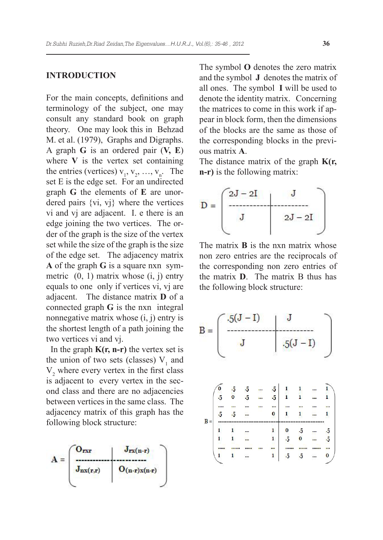# **Introduction**

For the main concepts, definitions and terminology of the subject, one may consult any standard book on graph theory. One may look this in Behzad M. et al. (1979), Graphs and Digraphs. A graph **G** is an ordered pair (**V, E**) where  $\bf{V}$  is the vertex set containing the entries (vertices)  $v_1, v_2, ..., v_n$ . The set E is the edge set. For an undirected graph **G** the elements of **E** are unordered pairs {vi, vj} where the vertices vi and vj are adjacent. I. e there is an edge joining the two vertices. The order of the graph is the size of the vertex set while the size of the graph is the size of the edge set. The adjacency matrix **A** of the graph **G** is a square nxn symmetric  $(0, 1)$  matrix whose  $(i, j)$  entry equals to one only if vertices vi, vj are adjacent. The distance matrix **D** of a connected graph **G** is the nxn integral nonnegative matrix whose (i, j) entry is the shortest length of a path joining the two vertices vi and vj.

In the graph  $K(r, n-r)$  the vertex set is the union of two sets (classes)  $V_1$  and  $V<sub>2</sub>$  where every vertex in the first class is adjacent to every vertex in the second class and there are no adjacencies between vertices in the same class. The adjacency matrix of this graph has the following block structure:



The symbol **O** denotes the zero matrix and the symbol **J** denotes the matrix of all ones. The symbol **I** will be used to denote the identity matrix. Concerning the matrices to come in this work if appear in block form, then the dimensions of the blocks are the same as those of the corresponding blocks in the previous matrix **A**.

The distance matrix of the graph **K(r, n-r)** is the following matrix:



The matrix **B** is the nxn matrix whose non zero entries are the reciprocals of the corresponding non zero entries of the matrix **D**. The matrix B thus has the following block structure:

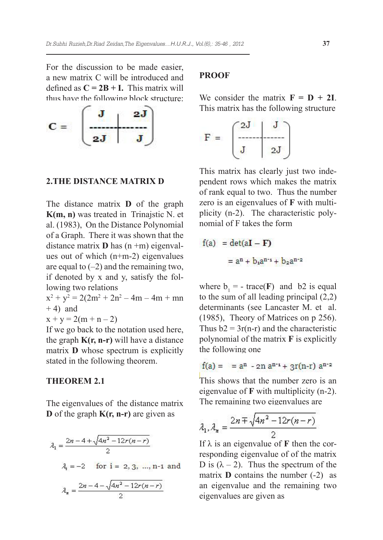For the discussion to be made easier, a new matrix C will be introduced and defined as  $C = 2B + I$ . This matrix will thus have the following block structure:



### **2.The distance matrix D**

The distance matrix **D** of the graph **K(m, n)** was treated in Trinajstic N. et al. (1983), On the Distance Polynomial of a Graph. There it was shown that the distance matrix **D** has (n +m) eigenvalues out of which (n+m-2) eigenvalues are equal to  $(-2)$  and the remaining two, if denoted by x and y, satisfy the following two relations

 $x^2 + y^2 = 2(2m^2 + 2n^2 - 4m - 4m + mn)$  $+ 4$ ) and

 $x + y = 2(m + n - 2)$ 

If we go back to the notation used here, the graph **K(r, n-r)** will have a distance matrix **D** whose spectrum is explicitly stated in the following theorem.

## **Theorem 2.1**

The eigenvalues of the distance matrix **D** of the graph **K(r, n-r)** are given as

$$
\lambda_1 = \frac{2n - 4 + \sqrt{4n^2 - 12r(n - r)}}{2}
$$
  

$$
\lambda_i = -2 \quad \text{for } i = 2, 3, ..., n-1 \text{ and}
$$
  

$$
\lambda_n = \frac{2n - 4 - \sqrt{4n^2 - 12r(n - r)}}{2}
$$

# **proof**

We consider the matrix  $\mathbf{F} = \mathbf{D} + 2\mathbf{I}$ . This matrix has the following structure



This matrix has clearly just two independent rows which makes the matrix of rank equal to two. Thus the number zero is an eigenvalues of **F** with multiplicity (n-2). The characteristic polynomial of F takes the form

$$
f(a) = det(aI - F)
$$

$$
= an + b1an+1 + b2an+2
$$

where  $b_1 = -\text{trace}(F)$  and b2 is equal to the sum of all leading principal (2,2) determinants (see Lancaster M. et al. (1985), Theory of Matrices on p 256). Thus  $b2 = 3r(n-r)$  and the characteristic polynomial of the matrix **F** is explicitly the following one

$$
f(a) = a^n - 2n a^{n-1} + 3r(n-r) a^{n-2}
$$

This shows that the number zero is an eigenvalue of **F** with multiplicity (n-2). The remaining two eigenvalues are

$$
\lambda_1, \lambda_n = \frac{2n \mp \sqrt{4n^2 - 12r(n-r)}}{2}
$$

If  $\lambda$  is an eigenvalue of **F** then the corresponding eigenvalue of of the matrix D is  $(\lambda - 2)$ . Thus the spectrum of the matrix **D** contains the number (-2) as an eigenvalue and the remaining two eigenvalues are given as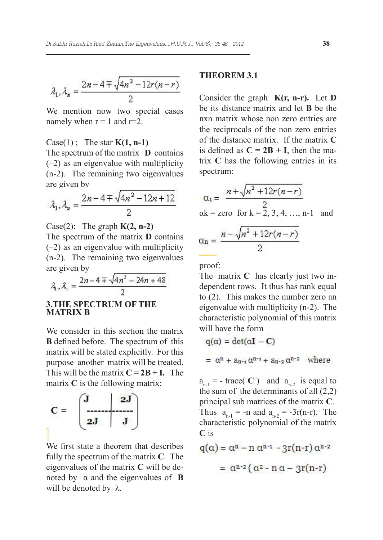$$
\lambda_1, \lambda_n = \frac{2n - 4 \mp \sqrt{4n^2 - 12r(n - r)}}{2}
$$

We mention now two special cases namely when  $r = 1$  and  $r=2$ .

Case(1) ; The star **K(1, n-1)**

The spectrum of the matrix **D** contains (–2) as an eigenvalue with multiplicity (n-2). The remaining two eigenvalues are given by

$$
\lambda_1, \lambda_n = \frac{2n - 4 \mp \sqrt{4n^2 - 12n + 12}}{2}
$$

Case(2): The graph **K(2, n-2)** The spectrum of the matrix **D** contains (–2) as an eigenvalue with multiplicity (n-2). The remaining two eigenvalues are given by

$$
\lambda_1, \lambda_n = \frac{2n - 4 \mp \sqrt{4n^2 - 24n + 48}}{2}
$$

### **3.The spectrum of the matrix B**

We consider in this section the matrix **B** defined before. The spectrum of this matrix will be stated explicitly. For this purpose another matrix will be treated. This will be the matrix  $C = 2B + I$ . The matrix **C** is the following matrix:



We first state a theorem that describes fully the spectrum of the matrix **C**. The eigenvalues of the matrix **C** will be denoted by  $\alpha$  and the eigenvalues of **B** will be denoted by λ.

#### **Theorem 3.1**

Consider the graph **K(r, n-r).** Let **D**  be its distance matrix and let **B** be the nxn matrix whose non zero entries are the reciprocals of the non zero entries of the distance matrix. If the matrix **C** is defined as  $C = 2B + I$ , then the matrix **C** has the following entries in its spectrum:

$$
a_1 = \frac{n + \sqrt{n^2 + 12r(n-r)}}{2}
$$
  
ak = zero for k = 2, 3, 4, ..., n-1 and  

$$
a_n = \frac{n - \sqrt{n^2 + 12r(n-r)}}{2}
$$

$$
\alpha_n = \frac{n - \sqrt{n} + \frac{1}{2}r(n-r)}{2}
$$

proof:

The matrix **C** has clearly just two independent rows. It thus has rank equal to (2). This makes the number zero an eigenvalue with multiplicity (n-2). The characteristic polynomial of this matrix will have the form

$$
q(\alpha) = det(\alpha \mathbf{I} - \mathbf{C})
$$
  
=  $\alpha^{n} + a_{n-i} \alpha^{n-i} + a_{n+2} \alpha^{n+2}$  where

 $a_{n-1}$  = - trace( C) and  $a_{n-2}$  is equal to the sum of the determinants of all (2,2) principal sub matrices of the matrix **C**. Thus  $a_{n-1} = -n$  and  $a_{n-2} = -3r(n-r)$ . The characteristic polynomial of the matrix **C** is

$$
q(\alpha) = \alpha^{n} - n \alpha^{n-1} - 3r(n-r) \alpha^{n-2}
$$

$$
= \alpha^{n-2} (\alpha^{2} - n \alpha - 3r(n-r))
$$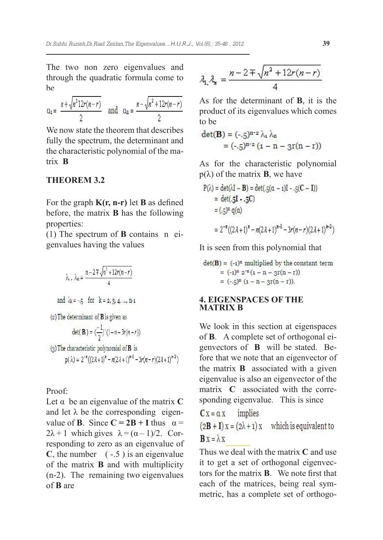The two non zero eigenvalues and through the quadratic formula come to  $h$ e

$$
\alpha_1 = \frac{n + \sqrt{n^2 12r(n-r)}}{2}
$$
 and  $\alpha_n = \frac{n - \sqrt{n^2 + 12r(n-r)}}{2}$ 

We now state the theorem that describes fully the spectrum, the determinant and the characteristic polynomial of the matrix **B**

# **Theorem 3.2**

For the graph **K(r, n-r)** let **B** as defined before, the matrix **B** has the following properties:

(1) The spectrum of **B** contains n eigenvalues having the values

$$
\lambda_{x}, \lambda_{m} = \frac{n - 2 \mp \sqrt{n^2 + 12r(n - r)}}{4}
$$
  
and  $\lambda_{k} = -5$  for  $k = 2, 3, 4, ..., n-1$   
(2) The determinant of **B** is given as  

$$
\det(\mathbf{B}) = \left(\frac{-1}{2}\right)^{n}(1 - n - 3r(n - r))
$$
  
(3) The characteristic polynomial of **B** is

 $p(\lambda) = 2^{-n}((2\lambda+1)^n - n(2\lambda+1)^{n-1} - 3r(n-r)(2\lambda+1)^{n-2})$ 

Proof:

Let α be an eigenvalue of the matrix **C** and let  $\lambda$  be the corresponding eigenvalue of **B**. Since  $C = 2B + I$  thus  $\alpha =$  $2\lambda + 1$  which gives  $\lambda = (\alpha - 1)/2$ . Corresponding to zero as an eigenvalue of  $C$ , the number  $(-.5)$  is an eigenvalue of the matrix **B** and with multiplicity (n-2). The remaining two eigenvalues of **B** are

$$
\lambda_{1, \lambda_{n}} = \frac{n - 2 \mp \sqrt{n^{2} + 12r(n - r)}}{4}
$$

As for the determinant of **B**, it is the product of its eigenvalues which comes to be

$$
\det(\mathbf{B}) = (-5)^{n-2} \lambda_1 \lambda_n
$$
  
= (-5)^{n-2} (1 - n - 3r(n - r))

As for the characteristic polynomial  $p(\lambda)$  of the matrix **B**, we have

$$
P(\lambda) = \det(\lambda I - B) = \det(.5(\alpha - 1)I - .5(C - I))
$$
  
= det(.5I - .5C)  
= (.5)<sup>n</sup> q(\alpha)  
= 2<sup>-n</sup>((2\lambda + 1)<sup>n</sup> - n(2\lambda + 1)<sup>n-1</sup> - 3r(n - r)(2\lambda + 1)<sup>n-2</sup>)

It is seen from this polynomial that

$$
det(\mathbf{B}) = (-1)^n \text{ multiplied by the constant term}
$$
  
= (-1)<sup>n</sup> 2<sup>-n</sup> (1 - n - 3r(n - r))  
= (-,5)<sup>n</sup> (1 - n - 3r(n - r)).

### **4. Eigenspaces of the matrix B**

We look in this section at eigenspaces of **B**. A complete set of orthogonal eigenvectors of **B** will be stated. Before that we note that an eigenvector of the matrix **B** associated with a given eigenvalue is also an eigenvector of the matrix **C** associated with the corresponding eigenvalue. This is since

$$
C x = \alpha x
$$
 implies

 $(2B + I)x = (2\lambda + 1)x$  which is equivalent to  $\mathbf{B} \mathbf{x} = \lambda \mathbf{x}$ 

Thus we deal with the matrix **C** and use it to get a set of orthogonal eigenvectors for the matrix **B**. We note first that each of the matrices, being real symmetric, has a complete set of orthogo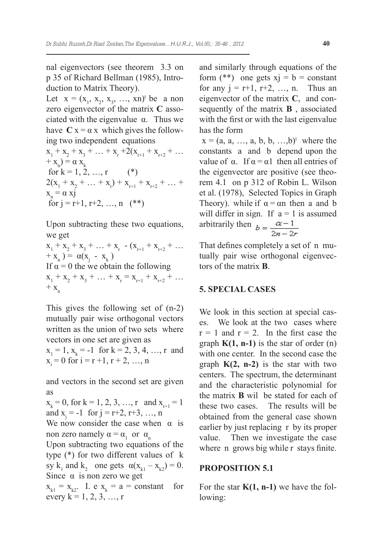nal eigenvectors (see theorem 3.3 on p 35 of Richard Bellman (1985), Introduction to Matrix Theory).

Let  $x = (x_1, x_2, x_3, ..., xn)^t$  be a non zero eigenvector of the matrix **C** associated with the eigenvalue  $\alpha$ . Thus we have  $C x = \alpha x$  which gives the following two independent equations

 $x_1 + x_2 + x_3 + \ldots + x_r + 2(x_{r+1} + x_{r+2} + \ldots$  $+ x_n$ ) =  $\alpha x_k$ for  $k = 1, 2, ..., r$  (\*)  $2(x_1 + x_2 + ... + x_r) + x_{r+1} + x_{r+2} + ... +$  $x_n = \alpha x j$ for  $j = r+1, r+2, ..., n$  (\*\*)

Upon subtracting these two equations, we get

 $x_1 + x_2 + x_3 + \ldots + x_r$   $-(x_{r+1} + x_{r+2} + \ldots$  $+ x_n = \alpha(x_j - x_k)$ If  $\alpha = 0$  the we obtain the following  $x_1 + x_2 + x_3 + \ldots + x_r = x_{r+1} + x_{r+2} + \ldots$  $+ x_{n}$ 

This gives the following set of (n-2) mutually pair wise orthogonal vectors written as the union of two sets where vectors in one set are given as

 $x_1 = 1$ ,  $x_k = -1$  for  $k = 2, 3, 4, ..., r$  and  $x_i = 0$  for  $i = r + 1, r + 2, ..., n$ 

and vectors in the second set are given as

 $x_k = 0$ , for  $k = 1, 2, 3, ..., r$  and  $x_{r+1} = 1$ and  $x_j = -1$  for  $j = r+2, r+3, ..., n$ 

We now consider the case when  $\alpha$  is non zero namely  $\alpha = \alpha_1$  or  $\alpha_n$ 

Upon subtracting two equations of the type (\*) for two different values of k sy k<sub>1</sub> and k<sub>2</sub> one gets  $\alpha(x_{k1} - x_{k2}) = 0$ . Since  $\alpha$  is non zero we get

 $x_{k1} = x_{k2}$ . I. e  $x_k = a = constant$  for every  $k = 1, 2, 3, ..., r$ 

and similarly through equations of the form  $(**)$  one gets  $xi = b = constant$ for any  $j = r+1, r+2, ..., n$ . Thus an eigenvector of the matrix **C**, and consequently of the matrix **B** , associated with the first or with the last eigenvalue has the form

 $x = (a, a, ..., a, b, b, ..., b)^t$  where the constants a and b depend upon the value of  $\alpha$ . If  $\alpha = \alpha$ 1 then all entries of the eigenvector are positive (see theorem 4.1 on p 312 of Robin L. Wilson et al. (1978), Selected Topics in Graph Theory). while if  $\alpha = \alpha n$  then a and b will differ in sign. If  $a = 1$  is assumed arbitrarily then  $b = \frac{a-1}{2a-2a}$ 

That defines completely a set of n mutually pair wise orthogonal eigenvectors of the matrix **B**.

# **5. Special cases**

We look in this section at special cases. We look at the two cases where  $r = 1$  and  $r = 2$ . In the first case the graph  $K(1, n-1)$  is the star of order  $(n)$ with one center. In the second case the graph **K(2, n-2)** is the star with two centers. The spectrum, the determinant and the characteristic polynomial for the matrix **B** wil be stated for each of these two cases. The results will be obtained from the general case shown earlier by just replacing r by its proper value. Then we investigate the case where n grows big while r stays finite.

# **Proposition 5.1**

For the star  $K(1, n-1)$  we have the following: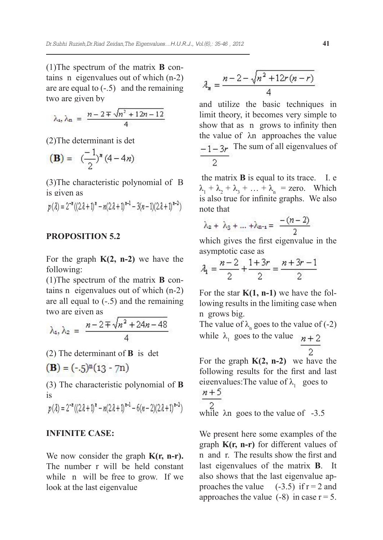(1)The spectrum of the matrix **B** contains n eigenvalues out of which (n-2) are are equal to  $(-.5)$  and the remaining two are given by

$$
\lambda_{\mathfrak{a}}, \lambda_{\mathfrak{m}} = \frac{n - 2 \mp \sqrt{n^2 + 12n - 12}}{4}
$$

(2)The determinant is det

$$
(\mathbf{B}) = (\frac{-1}{2})^{\mathbf{x}} (4 - 4n)
$$

(3)The characteristic polynomial of B is given as

$$
p(\lambda) = 2^{-n} ((2\lambda + 1)^n - n(2\lambda + 1)^{n-1} - 3(n-1)(2\lambda + 1)^{n-2})
$$

# **Proposition 5.2**

For the graph **K(2, n-2)** we have the following:

(1)The spectrum of the matrix **B** contains n eigenvalues out of which (n-2) are all equal to (-.5) and the remaining two are given as

$$
\lambda_1, \lambda_2 = \frac{n - 2 \mp \sqrt{n^2 + 24n - 48}}{4}
$$

(2) The determinant of **B** is det

$$
(\mathbf{B}) = (-5)^n (13 - 7n)
$$

(3) The characteristic polynomial of **B** is

$$
p(\lambda) = 2^{-n} ((2\lambda + 1)^n - n(2\lambda + 1)^{n-1} - 6(n-2)(2\lambda + 1)^{n-2})
$$

# **Infinite case:**

We now consider the graph **K(r, n-r).** The number r will be held constant while n will be free to grow. If we look at the last eigenvalue

$$
\lambda_n = \frac{n - 2 - \sqrt{n^2 + 12r(n - r)}}{4}
$$

and utilize the basic techniques in limit theory, it becomes very simple to show that as n grows to infinity then the value of λn approaches the value  $-1-3r$  The sum of all eigenvalues of

 the matrix **B** is equal to its trace. I. e  $\lambda_1 + \lambda_2 + \lambda_3 + \ldots + \lambda_n$  = zero. Which is also true for infinite graphs. We also note that

$$
\lambda_2 + \lambda_3 + \dots + \lambda_{n-1} = \frac{-(n-2)}{2}
$$

which gives the first eigenvalue in the asymptotic case as

$$
\lambda_1 = \frac{n-2}{2} + \frac{1+3r}{2} = \frac{n+3r-1}{2}
$$

For the star  $K(1, n-1)$  we have the following results in the limiting case when n grows big.

The value of  $\lambda_n$  goes to the value of (-2) while  $\lambda_1$  goes to the value

For the graph **K(2, n-2)** we have the following results for the first and last eigenvalues: The value of  $\lambda_1$  goes to

$$
\frac{n+3}{2}
$$

while  $\lambda$ n goes to the value of -3.5

We present here some examples of the graph **K(r, n-r)** for different values of n and r. The results show the first and last eigenvalues of the matrix **B**. It also shows that the last eigenvalue approaches the value  $(-3.5)$  if  $r = 2$  and approaches the value  $(-8)$  in case  $r = 5$ .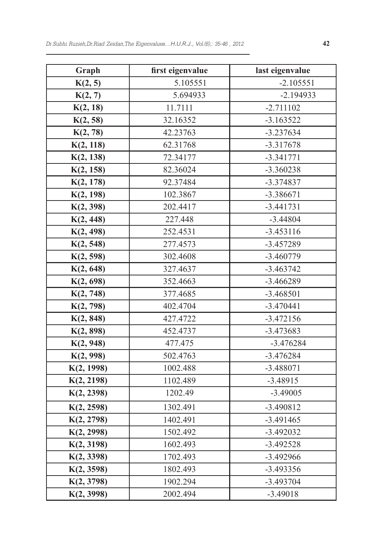| Graph      | first eigenvalue | last eigenvalue |
|------------|------------------|-----------------|
| K(2, 5)    | 5.105551         | $-2.105551$     |
| K(2, 7)    | 5.694933         | $-2.194933$     |
| K(2, 18)   | 11.7111          | $-2.711102$     |
| K(2, 58)   | 32.16352         | $-3.163522$     |
| K(2, 78)   | 42.23763         | $-3.237634$     |
| K(2, 118)  | 62.31768         | $-3.317678$     |
| K(2, 138)  | 72.34177         | $-3.341771$     |
| K(2, 158)  | 82.36024         | $-3.360238$     |
| K(2, 178)  | 92.37484         | $-3.374837$     |
| K(2, 198)  | 102.3867         | $-3.386671$     |
| K(2, 398)  | 202.4417         | $-3.441731$     |
| K(2, 448)  | 227.448          | $-3.44804$      |
| K(2, 498)  | 252.4531         | $-3.453116$     |
| K(2, 548)  | 277.4573         | $-3.457289$     |
| K(2, 598)  | 302.4608         | $-3.460779$     |
| K(2, 648)  | 327.4637         | $-3.463742$     |
| K(2, 698)  | 352.4663         | $-3.466289$     |
| K(2, 748)  | 377.4685         | $-3.468501$     |
| K(2, 798)  | 402.4704         | $-3.470441$     |
| K(2, 848)  | 427.4722         | $-3.472156$     |
| K(2, 898)  | 452.4737         | $-3.473683$     |
| K(2, 948)  | 477.475          | $-3.476284$     |
| K(2, 998)  | 502.4763         | $-3.476284$     |
| K(2, 1998) | 1002.488         | $-3.488071$     |
| K(2, 2198) | 1102.489         | $-3.48915$      |
| K(2, 2398) | 1202.49          | $-3.49005$      |
| K(2, 2598) | 1302.491         | $-3.490812$     |
| K(2, 2798) | 1402.491         | $-3.491465$     |
| K(2, 2998) | 1502.492         | $-3.492032$     |
| K(2, 3198) | 1602.493         | $-3.492528$     |
| K(2, 3398) | 1702.493         | $-3.492966$     |
| K(2, 3598) | 1802.493         | $-3.493356$     |
| K(2, 3798) | 1902.294         | $-3.493704$     |
| K(2, 3998) | 2002.494         | $-3.49018$      |

 $\overline{\phantom{0}}$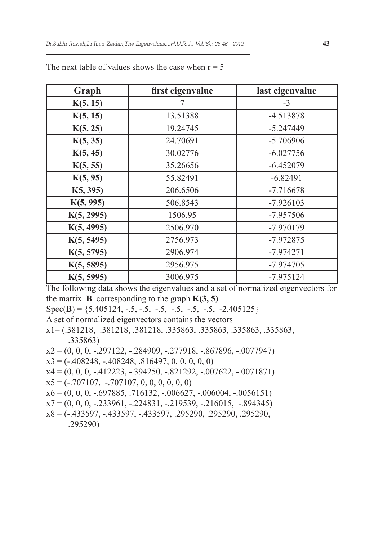| Graph      | first eigenvalue | last eigenvalue |
|------------|------------------|-----------------|
| K(5, 15)   |                  | $-3$            |
| K(5, 15)   | 13.51388         | -4.513878       |
| K(5, 25)   | 19.24745         | $-5.247449$     |
| K(5, 35)   | 24.70691         | $-5.706906$     |
| K(5, 45)   | 30.02776         | $-6.027756$     |
| K(5, 55)   | 35.26656         | $-6.452079$     |
| K(5, 95)   | 55.82491         | $-6.82491$      |
| K5, 395)   | 206.6506         | $-7.716678$     |
| K(5, 995)  | 506.8543         | $-7.926103$     |
| K(5, 2995) | 1506.95          | $-7.957506$     |
| K(5, 4995) | 2506.970         | -7.970179       |
| K(5, 5495) | 2756.973         | $-7.972875$     |
| K(5, 5795) | 2906.974         | $-7.974271$     |
| K(5, 5895) | 2956.975         | $-7.974705$     |
| K(5, 5995) | 3006.975         | $-7.975124$     |

The next table of values shows the case when  $r = 5$ 

The following data shows the eigenvalues and a set of normalized eigenvectors for the matrix **B** corresponding to the graph  $K(3, 5)$ 

Spec(**B**) = {5.405124, -.5, -.5, -.5, -.5, -.5, -.5, -2.405125}

- A set of normalized eigenvectors contains the vectors
- x1= (.381218, .381218, .381218, .335863, .335863, .335863, .335863, .335863)
- $x2 = (0, 0, 0, -0.297122, -0.284909, -0.277918, -0.867896, -0.0077947)$
- $x3 = (-408248, -408248, 0.816497, 0, 0, 0, 0, 0)$
- $x4 = (0, 0, 0, -412223, -394250, -821292, -007622, -0071871)$
- $x5 = (-707107, -707107, 0, 0, 0, 0, 0, 0)$
- $x6 = (0, 0, 0, -0.697885, 0.716132, -0.006627, -0.006004, -0.0056151)$
- $x7 = (0, 0, 0, -233961, -224831, -219539, -216015, -894345)$
- x8 = (-.433597, -.433597, -.433597, .295290, .295290, .295290, .295290)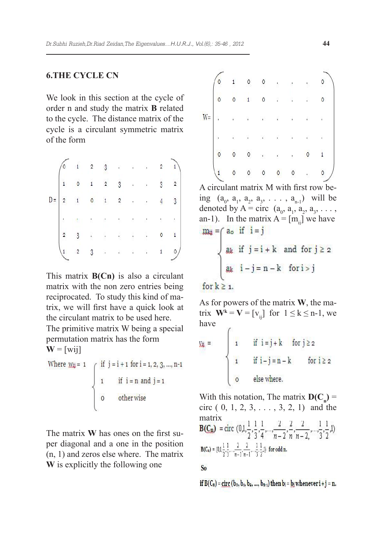# **6.The cycle Cn**

We look in this section at the cycle of order n and study the matrix **B** related to the cycle. The distance matrix of the cycle is a circulant symmetric matrix of the form

|   |   |                | n | ß              |   | ×         |   |          |   |
|---|---|----------------|---|----------------|---|-----------|---|----------|---|
|   |   | 0              |   | $\overline{2}$ | 3 | l,        |   | 3        |   |
| Ľ | 2 |                |   |                | 2 |           |   |          | ŋ |
|   |   |                |   |                |   | ĉ         | ٠ | ı        |   |
|   |   | $\overline{Q}$ |   |                |   | $\lambda$ |   | $\delta$ |   |
|   |   | 2              | ŋ |                |   | ï         |   |          |   |

This matrix **B(Cn)** is also a circulant matrix with the non zero entries being reciprocated. To study this kind of matrix, we will first have a quick look at the circulant matrix to be used here.

The primitive matrix W being a special permutation matrix has the form  $W = [wii]$ 

Where 
$$
\text{Wij} = 1
$$
 if  $j = i + 1$  for  $i = 1, 2, 3, ..., n-1$   
1 if  $i = n$  and  $j = 1$   
0 other wise

The matrix **W** has ones on the first super diagonal and a one in the position (n, 1) and zeros else where. The matrix **W** is explicitly the following one

|       |             | 1 |   | Õ | ı  | × | ı  |         |  |
|-------|-------------|---|---|---|----|---|----|---------|--|
|       | $\mathbf 0$ | 0 |   | 0 | ı  | ٠ |    | $\circ$ |  |
| $W =$ | ļ           | ï |   | 髓 | í. | í | ÿ, |         |  |
|       | į           | ì |   |   | í, | ï |    |         |  |
|       |             | Ō | 0 |   | f  | ł |    |         |  |
|       |             | 0 | 0 | U | 0  | 0 |    | 0       |  |

A circulant matrix M with first row being  $(a_0, a_1, a_2, a_3, \ldots, a_{n-1})$  will be denoted by  $A = \text{circ} \ (a_0, a_1, a_2, a_3, \dots, a_n)$ an-1). In the matrix  $A = [m_{ij}]$  we have<br> $m_{ii} = (a_0 \text{ if } i = j)$ 

$$
\begin{cases} \n\text{ak} & \text{if } j = i + k \text{ and for } j \geq 2 \\
\text{ak} & i - j = n - k \text{ for } i > j \n\end{cases}
$$

# for  $k \geq 1$ .

As for powers of the matrix **W**, the matrix  $\mathbf{W}^k = \mathbf{V} = [\mathbf{v}_{ij}]$  for  $1 \le k \le n-1$ , we have  $\mathcal{L}$ 

$$
y_{ij} = \begin{cases} i & \text{if } i = j + k \text{ for } j \geq 2 \\ i & \text{if } i - j = n - k \text{ for } i \geq 2 \\ 0 & \text{else where.} \end{cases}
$$

With this notation, The matrix  $D(C_n)$  = circ  $(0, 1, 2, 3, \ldots, 3, 2, 1)$  and the matrix<br>**B(C<sub>n</sub>)** = circ  $(0,1,\frac{1}{2},\frac{1}{3},\frac{1}{4},...,\frac{2}{n-2},\frac{2}{n},\frac{2}{n-2},...,\frac{1}{3},\frac{1}{2},1)$  $B(C_n) = (0,1,\frac{1}{2},\frac{1}{3},...,\frac{2}{n-1},\frac{2}{n-1},...,\frac{1}{3},\frac{1}{2},1)$  for odd n.

### S<sub>o</sub>

if  $B(C_n) =$  circ  $(b_0, b_1, b_2, ..., b_{n-1})$  then  $b_i = b_j$  whenever  $i + j = n$ .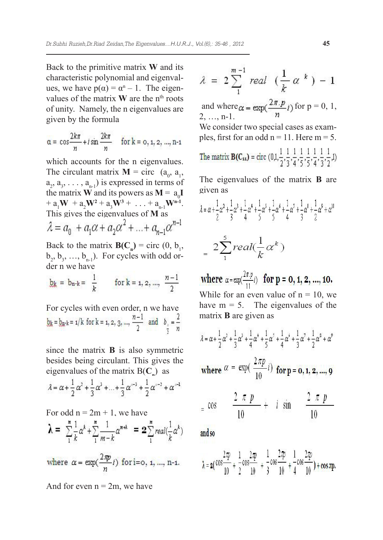Back to the primitive matrix **W** and its characteristic polynomial and eigenvalues, we have  $p(\alpha) = \alpha^{n} - 1$ . The eigenvalues of the matrix **W** are the n<sup>th</sup> roots of unity. Namely, the n eigenvalues are given by the formula

$$
\alpha = \cos \frac{2k\pi}{n} + i \sin \frac{2k\pi}{n} \quad \text{for } k = 0, 1, 2, ..., n-1
$$

which accounts for the *n* eigenvalues. The circulant matrix  $\mathbf{M} = \text{circ} \quad (a_0, a_1)$ ,  $a_2, a_3, \ldots, a_{n-1}$ ) is expressed in terms of the matrix **W** and its powers as  $M = a_0 I$  $+ a_1 W + a_2 W^2 + a_3 W^3 + \ldots + a_{n-1} W^{n-1}.$ This gives the eigenvalues of **M** as

Back to the matrix  $\mathbf{B}(C_n) = \text{circ}(0, b_1)$ ,  $b_2, b_3, ..., b_{n-1}$ ). For cycles with odd order n we have

$$
\underline{b_k} = b_{n-k} = \frac{1}{k} \qquad \text{for } k = 1, 2, ..., \frac{n-1}{2}
$$

For cycles with even order, n we have<br>  $\underline{b_k} = \underline{b_n} + i/k$  for  $k = 1, 2, 3, ..., \frac{n-1}{2}$  and  $\underline{b_n} = \frac{2}{n}$ 

since the matrix **B** is also symmetric besides being circulant. This gives the eigenvalues of the matrix  $B(C_n)$  as

$$
\lambda = \alpha + \frac{1}{2}\alpha^2 + \frac{1}{3}\alpha^3 + \dots + \frac{1}{3}\alpha^{n-3} + \frac{1}{2}\alpha^{n-2} + \alpha^{n-1}
$$

For odd  $n = 2m + 1$ , we have  $\lambda = \sum_{k=1}^{\infty} \frac{1}{k} \alpha^{k} + \sum_{m=k}^{\infty} \frac{1}{m-k} \alpha^{m+k} = 2 \sum_{k=1}^{\infty} real(\frac{1}{k} \alpha^{k})$ 

where  $\alpha = \exp(\frac{2\pi p}{n}i)$  for i=0, 1, ..., n-1.

And for even  $n = 2m$ , we have

$$
\lambda = 2\sum_{1}^{m-1} real \left(\frac{1}{k} \alpha^{k}\right) - 1
$$

and where  $\alpha = \exp(\frac{2\pi.p}{n}i)$  for  $p = 0, 1$ , 2, …, n-1.

We consider two special cases as examples, first for an odd  $n = 11$ . Here  $m = 5$ . .<br>A coal doar doar doar dua coal doar

The matrix 
$$
\mathbf{B}(C_{11}) = \text{circ } (0,1,\frac{1}{2},\frac{1}{3},\frac{1}{4},\frac{1}{5},\frac{1}{5},\frac{1}{4},\frac{1}{3},\frac{1}{2},1)
$$

The eigenvalues of the matrix **B** are given as

$$
\begin{aligned} \n\lambda &= \alpha + \frac{1}{2}\alpha^2 + \frac{1}{3}\alpha^3 + \frac{1}{4}\alpha^4 + \frac{1}{5}\alpha^5 + \frac{1}{5}\alpha^6 + \frac{1}{4}\alpha^7 + \frac{1}{3}\alpha^8 + \frac{1}{2}\alpha^9 + \alpha^{10} \\ \n&= 2\sum_{1}^{5} \text{real}(\frac{1}{k}\alpha^k) \n\end{aligned}
$$

where  $\alpha = \exp(\frac{2\pi p}{11}i)$  for  $p = 0, 1, 2, ..., 10$ . While for an even value of  $n = 10$ , we have  $m = 5$ . The eigenvalues of the matrix **B** are given as

$$
\hat{\lambda} = \alpha + \frac{1}{2}\alpha^2 + \frac{1}{3}\alpha^3 + \frac{1}{4}\alpha^4 + \frac{1}{5}\alpha^5 + \frac{1}{4}\alpha^4 + \frac{1}{3}\alpha^7 + \frac{1}{2}\alpha^8 + \alpha^9
$$

where 
$$
\alpha = \exp(\frac{2\pi p}{10}i)
$$
 for p = 0, 1, 2, ..., 9

$$
= \cos \frac{2 \pi p}{10} + i \sin \frac{2}{1}
$$

and so

$$
\lambda = 2\left(\cos\frac{2\pi p}{10} + \frac{1}{2}\cos\frac{2\pi p}{10} + \frac{1}{3}\cos\frac{2\pi p}{10} + \frac{1}{4}\cos\frac{2\pi p}{10}\right) + \cos\pi p.
$$